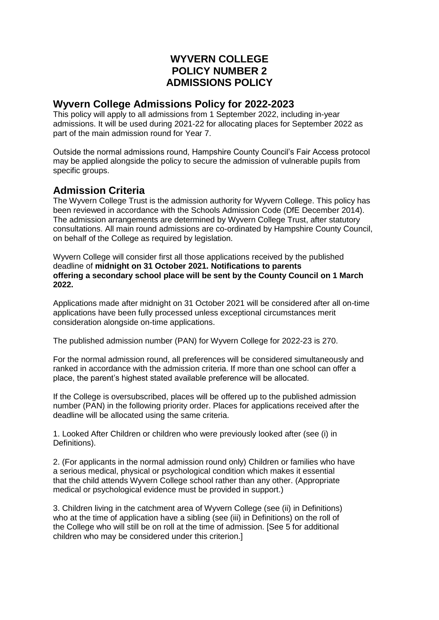# **WYVERN COLLEGE POLICY NUMBER 2 ADMISSIONS POLICY**

## **Wyvern College Admissions Policy for 2022-2023**

This policy will apply to all admissions from 1 September 2022, including in-year admissions. It will be used during 2021-22 for allocating places for September 2022 as part of the main admission round for Year 7.

Outside the normal admissions round, Hampshire County Council's Fair Access protocol may be applied alongside the policy to secure the admission of vulnerable pupils from specific groups.

# **Admission Criteria**

The Wyvern College Trust is the admission authority for Wyvern College. This policy has been reviewed in accordance with the Schools Admission Code (DfE December 2014). The admission arrangements are determined by Wyvern College Trust, after statutory consultations. All main round admissions are co-ordinated by Hampshire County Council, on behalf of the College as required by legislation.

Wyvern College will consider first all those applications received by the published deadline of **midnight on 31 October 2021. Notifications to parents offering a secondary school place will be sent by the County Council on 1 March 2022.**

Applications made after midnight on 31 October 2021 will be considered after all on-time applications have been fully processed unless exceptional circumstances merit consideration alongside on-time applications.

The published admission number (PAN) for Wyvern College for 2022-23 is 270.

For the normal admission round, all preferences will be considered simultaneously and ranked in accordance with the admission criteria. If more than one school can offer a place, the parent's highest stated available preference will be allocated.

If the College is oversubscribed, places will be offered up to the published admission number (PAN) in the following priority order. Places for applications received after the deadline will be allocated using the same criteria.

1. Looked After Children or children who were previously looked after (see (i) in Definitions).

2. (For applicants in the normal admission round only) Children or families who have a serious medical, physical or psychological condition which makes it essential that the child attends Wyvern College school rather than any other. (Appropriate medical or psychological evidence must be provided in support.)

3. Children living in the catchment area of Wyvern College (see (ii) in Definitions) who at the time of application have a sibling (see (iii) in Definitions) on the roll of the College who will still be on roll at the time of admission. [See 5 for additional children who may be considered under this criterion.]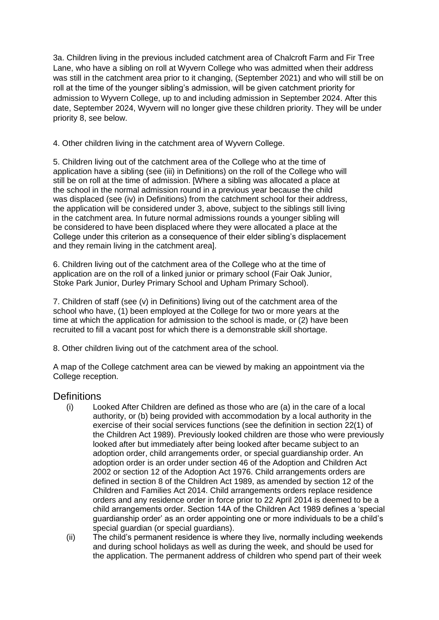3a. Children living in the previous included catchment area of Chalcroft Farm and Fir Tree Lane, who have a sibling on roll at Wyvern College who was admitted when their address was still in the catchment area prior to it changing, (September 2021) and who will still be on roll at the time of the younger sibling's admission, will be given catchment priority for admission to Wyvern College, up to and including admission in September 2024. After this date, September 2024, Wyvern will no longer give these children priority. They will be under priority 8, see below.

4. Other children living in the catchment area of Wyvern College.

5. Children living out of the catchment area of the College who at the time of application have a sibling (see (iii) in Definitions) on the roll of the College who will still be on roll at the time of admission. [Where a sibling was allocated a place at the school in the normal admission round in a previous year because the child was displaced (see (iv) in Definitions) from the catchment school for their address, the application will be considered under 3, above, subject to the siblings still living in the catchment area. In future normal admissions rounds a younger sibling will be considered to have been displaced where they were allocated a place at the College under this criterion as a consequence of their elder sibling's displacement and they remain living in the catchment area].

6. Children living out of the catchment area of the College who at the time of application are on the roll of a linked junior or primary school (Fair Oak Junior, Stoke Park Junior, Durley Primary School and Upham Primary School).

7. Children of staff (see (v) in Definitions) living out of the catchment area of the school who have, (1) been employed at the College for two or more years at the time at which the application for admission to the school is made, or (2) have been recruited to fill a vacant post for which there is a demonstrable skill shortage.

8. Other children living out of the catchment area of the school.

A map of the College catchment area can be viewed by making an appointment via the College reception.

## **Definitions**

- (i) Looked After Children are defined as those who are (a) in the care of a local authority, or (b) being provided with accommodation by a local authority in the exercise of their social services functions (see the definition in section 22(1) of the Children Act 1989). Previously looked children are those who were previously looked after but immediately after being looked after became subject to an adoption order, child arrangements order, or special guardianship order. An adoption order is an order under section 46 of the Adoption and Children Act 2002 or section 12 of the Adoption Act 1976. Child arrangements orders are defined in section 8 of the Children Act 1989, as amended by section 12 of the Children and Families Act 2014. Child arrangements orders replace residence orders and any residence order in force prior to 22 April 2014 is deemed to be a child arrangements order. Section 14A of the Children Act 1989 defines a 'special guardianship order' as an order appointing one or more individuals to be a child's special guardian (or special guardians).
- (ii) The child's permanent residence is where they live, normally including weekends and during school holidays as well as during the week, and should be used for the application. The permanent address of children who spend part of their week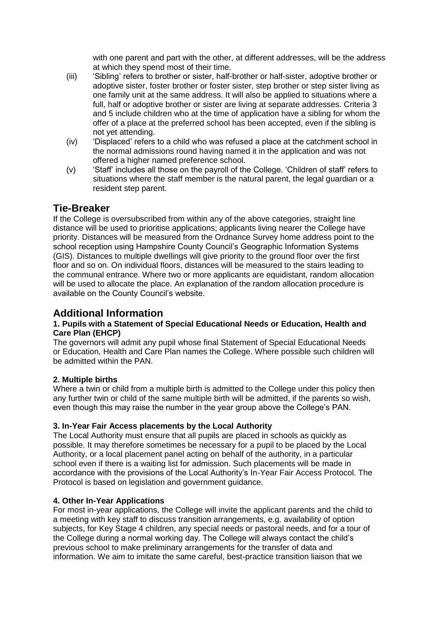with one parent and part with the other, at different addresses, will be the address at which they spend most of their time.

- (iii) 'Sibling' refers to brother or sister, half-brother or half-sister, adoptive brother or adoptive sister, foster brother or foster sister, step brother or step sister living as one family unit at the same address. It will also be applied to situations where a full, half or adoptive brother or sister are living at separate addresses. Criteria 3 and 5 include children who at the time of application have a sibling for whom the offer of a place at the preferred school has been accepted, even if the sibling is not yet attending.
- (iv) 'Displaced' refers to a child who was refused a place at the catchment school in the normal admissions round having named it in the application and was not offered a higher named preference school.
- (v) 'Staff' includes all those on the payroll of the College. 'Children of staff' refers to situations where the staff member is the natural parent, the legal guardian or a resident step parent.

## **Tie-Breaker**

If the College is oversubscribed from within any of the above categories, straight line distance will be used to prioritise applications; applicants living nearer the College have priority. Distances will be measured from the Ordnance Survey home address point to the school reception using Hampshire County Council's Geographic Information Systems (GIS). Distances to multiple dwellings will give priority to the ground floor over the first floor and so on. On individual floors, distances will be measured to the stairs leading to the communal entrance. Where two or more applicants are equidistant, random allocation will be used to allocate the place. An explanation of the random allocation procedure is available on the County Council's website.

## **Additional Information**

### **1. Pupils with a Statement of Special Educational Needs or Education, Health and Care Plan (EHCP)**

The governors will admit any pupil whose final Statement of Special Educational Needs or Education, Health and Care Plan names the College. Where possible such children will be admitted within the PAN.

## **2. Multiple births**

Where a twin or child from a multiple birth is admitted to the College under this policy then any further twin or child of the same multiple birth will be admitted, if the parents so wish, even though this may raise the number in the year group above the College's PAN.

## **3. In-Year Fair Access placements by the Local Authority**

The Local Authority must ensure that all pupils are placed in schools as quickly as possible. It may therefore sometimes be necessary for a pupil to be placed by the Local Authority, or a local placement panel acting on behalf of the authority, in a particular school even if there is a waiting list for admission. Such placements will be made in accordance with the provisions of the Local Authority's In-Year Fair Access Protocol. The Protocol is based on legislation and government guidance.

## **4. Other In-Year Applications**

For most in-year applications, the College will invite the applicant parents and the child to a meeting with key staff to discuss transition arrangements, e.g. availability of option subjects, for Key Stage 4 children, any special needs or pastoral needs, and for a tour of the College during a normal working day. The College will always contact the child's previous school to make preliminary arrangements for the transfer of data and information. We aim to imitate the same careful, best-practice transition liaison that we